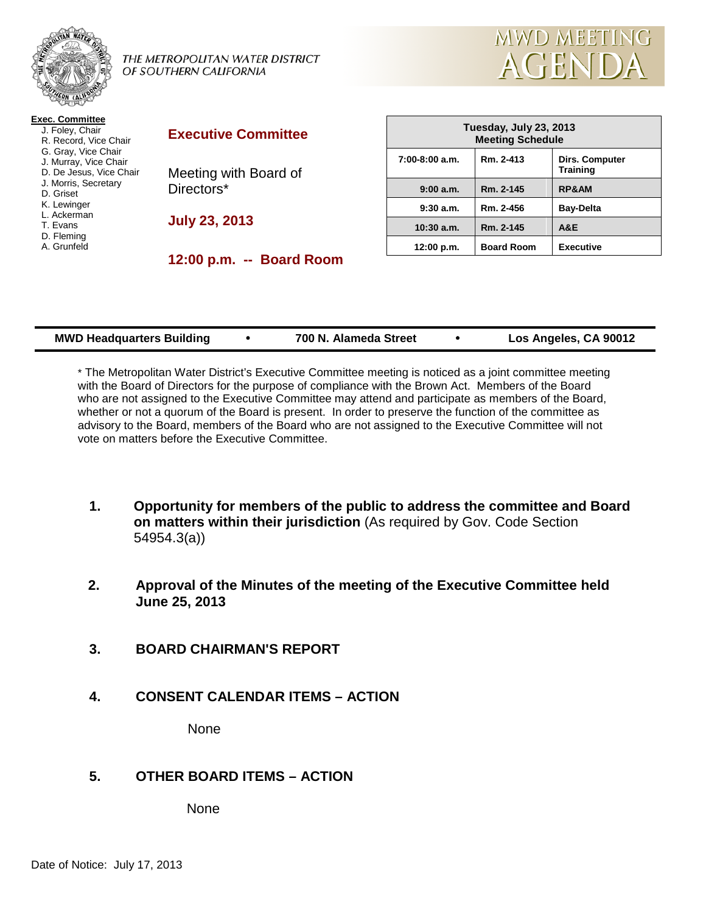

THE METROPOLITAN WATER DISTRICT OF SOUTHERN CALIFORNIA



| <b>Exec. Committee</b>  |  |  |  |
|-------------------------|--|--|--|
| J. Foley, Chair         |  |  |  |
| R. Record, Vice Chair   |  |  |  |
| G. Gray, Vice Chair     |  |  |  |
| J. Murray, Vice Chair   |  |  |  |
| D. De Jesus, Vice Chair |  |  |  |
| J. Morris, Secretary    |  |  |  |
| D. Griset               |  |  |  |
| K. Lewinger             |  |  |  |
| L. Ackerman             |  |  |  |
| T. Fvans                |  |  |  |
| D. Fleming              |  |  |  |
| A. Grunfeld             |  |  |  |
|                         |  |  |  |
|                         |  |  |  |

#### **Executive Committee**

Meeting with Board of Directors\*

**July 23, 2013**

**12:00 p.m. -- Board Room**

| Tuesday, July 23, 2013<br><b>Meeting Schedule</b> |                   |                                          |  |
|---------------------------------------------------|-------------------|------------------------------------------|--|
| $7:00-8:00$ a.m.                                  | Rm. 2-413         | <b>Dirs. Computer</b><br><b>Training</b> |  |
| 9:00a.m.                                          | Rm. 2-145         | <b>RP&amp;AM</b>                         |  |
| 9:30a.m.                                          | Rm. 2-456         | <b>Bay-Delta</b>                         |  |
| $10:30$ a.m.                                      | Rm. 2-145         | <b>A&amp;E</b>                           |  |
| 12:00 p.m.                                        | <b>Board Room</b> | <b>Executive</b>                         |  |

| 700 N. Alameda Street<br><b>MWD Headquarters Building</b> | Los Angeles, CA 90012 |
|-----------------------------------------------------------|-----------------------|
|-----------------------------------------------------------|-----------------------|

\* The Metropolitan Water District's Executive Committee meeting is noticed as a joint committee meeting with the Board of Directors for the purpose of compliance with the Brown Act. Members of the Board who are not assigned to the Executive Committee may attend and participate as members of the Board, whether or not a quorum of the Board is present. In order to preserve the function of the committee as advisory to the Board, members of the Board who are not assigned to the Executive Committee will not vote on matters before the Executive Committee.

- **1. Opportunity for members of the public to address the committee and Board on matters within their jurisdiction** (As required by Gov. Code Section 54954.3(a))
- **2. Approval of the Minutes of the meeting of the Executive Committee held June 25, 2013**
- **3. BOARD CHAIRMAN'S REPORT**
- **4. CONSENT CALENDAR ITEMS – ACTION**

None

## **5. OTHER BOARD ITEMS – ACTION**

None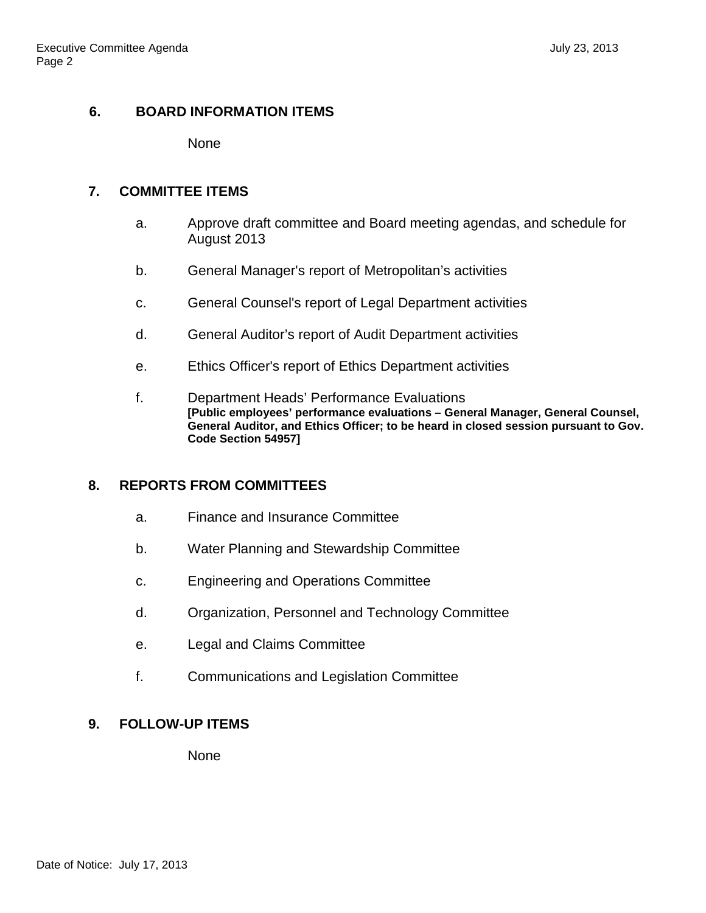#### **6. BOARD INFORMATION ITEMS**

None

#### **7. COMMITTEE ITEMS**

- a. Approve draft committee and Board meeting agendas, and schedule for August 2013
- b. General Manager's report of Metropolitan's activities
- c. General Counsel's report of Legal Department activities
- d. General Auditor's report of Audit Department activities
- e. Ethics Officer's report of Ethics Department activities
- f. Department Heads' Performance Evaluations **[Public employees' performance evaluations – General Manager, General Counsel, General Auditor, and Ethics Officer; to be heard in closed session pursuant to Gov. Code Section 54957]**

## **8. REPORTS FROM COMMITTEES**

- a. Finance and Insurance Committee
- b. Water Planning and Stewardship Committee
- c. Engineering and Operations Committee
- d. Organization, Personnel and Technology Committee
- e. Legal and Claims Committee
- f. Communications and Legislation Committee

# **9. FOLLOW-UP ITEMS**

None